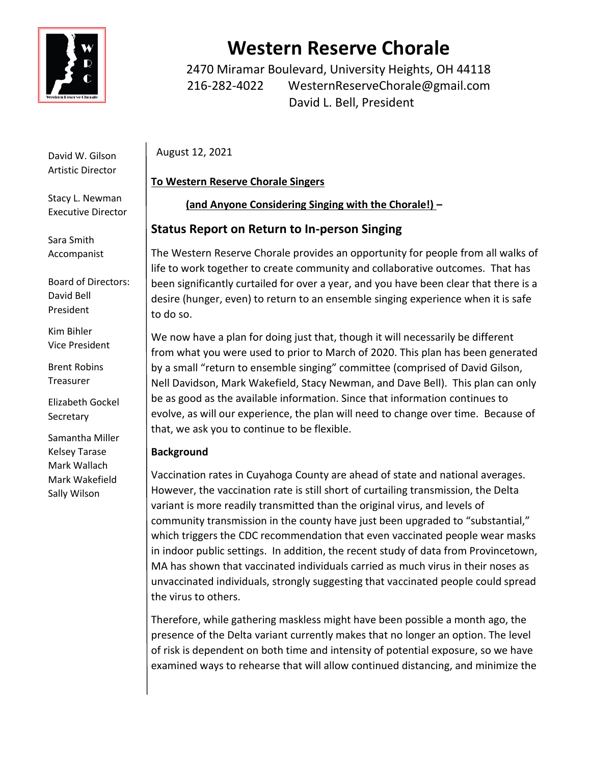

David W. Gilson Artistic Director

Stacy L. Newman Executive Director

Sara Smith Accompanist

Board of Directors: David Bell President

Kim Bihler Vice President

Brent Robins Treasurer

Elizabeth Gockel Secretary

Samantha Miller Kelsey Tarase Mark Wallach Mark Wakefield Sally Wilson

# **Western Reserve Chorale**

2470 Miramar Boulevard, University Heights, OH 44118 216-282-4022 WesternReserveChorale@gmail.com David L. Bell, President

August 12, 2021

## **To Western Reserve Chorale Singers**

**(and Anyone Considering Singing with the Chorale!) –**

# **Status Report on Return to In-person Singing**

The Western Reserve Chorale provides an opportunity for people from all walks of life to work together to create community and collaborative outcomes. That has been significantly curtailed for over a year, and you have been clear that there is a desire (hunger, even) to return to an ensemble singing experience when it is safe to do so.

We now have a plan for doing just that, though it will necessarily be different from what you were used to prior to March of 2020. This plan has been generated by a small "return to ensemble singing" committee (comprised of David Gilson, Nell Davidson, Mark Wakefield, Stacy Newman, and Dave Bell). This plan can only be as good as the available information. Since that information continues to evolve, as will our experience, the plan will need to change over time. Because of that, we ask you to continue to be flexible.

## **Background**

Vaccination rates in Cuyahoga County are ahead of state and national averages. However, the vaccination rate is still short of curtailing transmission, the Delta variant is more readily transmitted than the original virus, and levels of community transmission in the county have just been upgraded to "substantial," which triggers the CDC recommendation that even vaccinated people wear masks in indoor public settings. In addition, the recent study of data from Provincetown, MA has shown that vaccinated individuals carried as much virus in their noses as unvaccinated individuals, strongly suggesting that vaccinated people could spread the virus to others.

Therefore, while gathering maskless might have been possible a month ago, the presence of the Delta variant currently makes that no longer an option. The level of risk is dependent on both time and intensity of potential exposure, so we have examined ways to rehearse that will allow continued distancing, and minimize the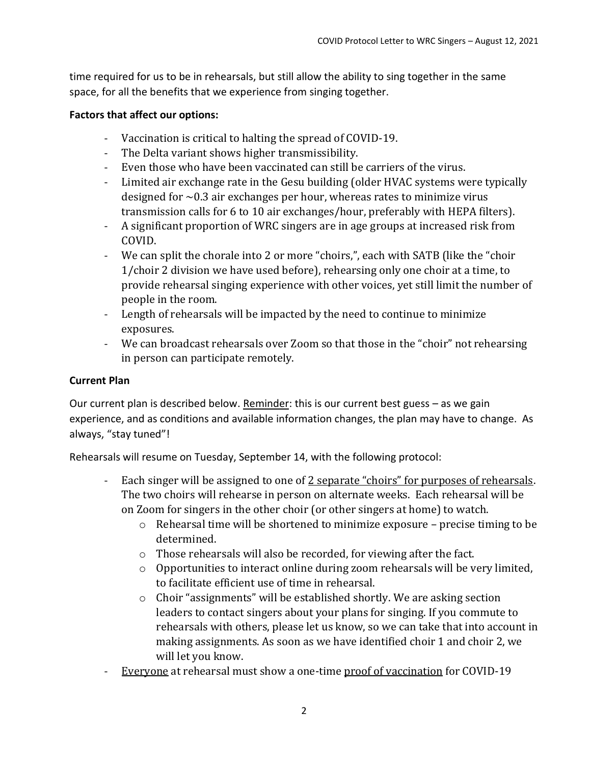time required for us to be in rehearsals, but still allow the ability to sing together in the same space, for all the benefits that we experience from singing together.

#### **Factors that affect our options:**

- Vaccination is critical to halting the spread of COVID-19.
- The Delta variant shows higher transmissibility.
- Even those who have been vaccinated can still be carriers of the virus.
- Limited air exchange rate in the Gesu building (older HVAC systems were typically designed for  $\sim$  0.3 air exchanges per hour, whereas rates to minimize virus transmission calls for 6 to 10 air exchanges/hour, preferably with HEPA filters).
- A significant proportion of WRC singers are in age groups at increased risk from COVID.
- We can split the chorale into 2 or more "choirs,", each with SATB (like the "choir 1/choir 2 division we have used before), rehearsing only one choir at a time, to provide rehearsal singing experience with other voices, yet still limit the number of people in the room.
- Length of rehearsals will be impacted by the need to continue to minimize exposures.
- We can broadcast rehearsals over Zoom so that those in the "choir" not rehearsing in person can participate remotely.

#### **Current Plan**

Our current plan is described below. Reminder: this is our current best guess – as we gain experience, and as conditions and available information changes, the plan may have to change. As always, "stay tuned"!

Rehearsals will resume on Tuesday, September 14, with the following protocol:

- Each singer will be assigned to one of 2 separate "choirs" for purposes of rehearsals. The two choirs will rehearse in person on alternate weeks. Each rehearsal will be on Zoom for singers in the other choir (or other singers at home) to watch.
	- o Rehearsal time will be shortened to minimize exposure precise timing to be determined.
	- o Those rehearsals will also be recorded, for viewing after the fact.
	- o Opportunities to interact online during zoom rehearsals will be very limited, to facilitate efficient use of time in rehearsal.
	- o Choir "assignments" will be established shortly. We are asking section leaders to contact singers about your plans for singing. If you commute to rehearsals with others, please let us know, so we can take that into account in making assignments. As soon as we have identified choir 1 and choir 2, we will let you know.
- Everyone at rehearsal must show a one-time proof of vaccination for COVID-19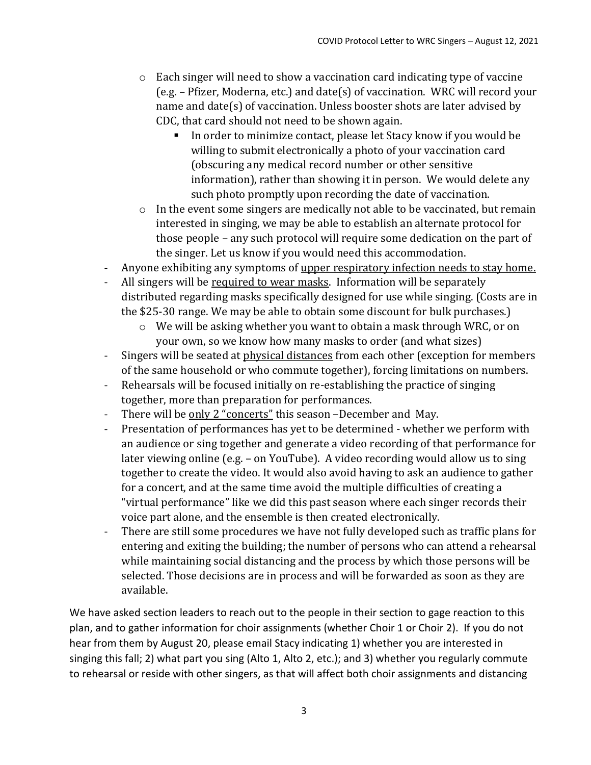- o Each singer will need to show a vaccination card indicating type of vaccine (e.g. – Pfizer, Moderna, etc.) and date(s) of vaccination. WRC will record your name and date(s) of vaccination. Unless booster shots are later advised by CDC, that card should not need to be shown again.
	- In order to minimize contact, please let Stacy know if you would be willing to submit electronically a photo of your vaccination card (obscuring any medical record number or other sensitive information), rather than showing it in person. We would delete any such photo promptly upon recording the date of vaccination.
- o In the event some singers are medically not able to be vaccinated, but remain interested in singing, we may be able to establish an alternate protocol for those people – any such protocol will require some dedication on the part of the singer. Let us know if you would need this accommodation.
- Anyone exhibiting any symptoms of upper respiratory infection needs to stay home.
- All singers will be required to wear masks. Information will be separately distributed regarding masks specifically designed for use while singing. (Costs are in the \$25-30 range. We may be able to obtain some discount for bulk purchases.)
	- $\circ$  We will be asking whether you want to obtain a mask through WRC, or on your own, so we know how many masks to order (and what sizes)
- Singers will be seated at physical distances from each other (exception for members of the same household or who commute together), forcing limitations on numbers.
- Rehearsals will be focused initially on re-establishing the practice of singing together, more than preparation for performances.
- There will be only 2 "concerts" this season -December and May.
- Presentation of performances has yet to be determined whether we perform with an audience or sing together and generate a video recording of that performance for later viewing online (e.g. – on YouTube). A video recording would allow us to sing together to create the video. It would also avoid having to ask an audience to gather for a concert, and at the same time avoid the multiple difficulties of creating a "virtual performance" like we did this past season where each singer records their voice part alone, and the ensemble is then created electronically.
- There are still some procedures we have not fully developed such as traffic plans for entering and exiting the building; the number of persons who can attend a rehearsal while maintaining social distancing and the process by which those persons will be selected. Those decisions are in process and will be forwarded as soon as they are available.

We have asked section leaders to reach out to the people in their section to gage reaction to this plan, and to gather information for choir assignments (whether Choir 1 or Choir 2). If you do not hear from them by August 20, please email Stacy indicating 1) whether you are interested in singing this fall; 2) what part you sing (Alto 1, Alto 2, etc.); and 3) whether you regularly commute to rehearsal or reside with other singers, as that will affect both choir assignments and distancing